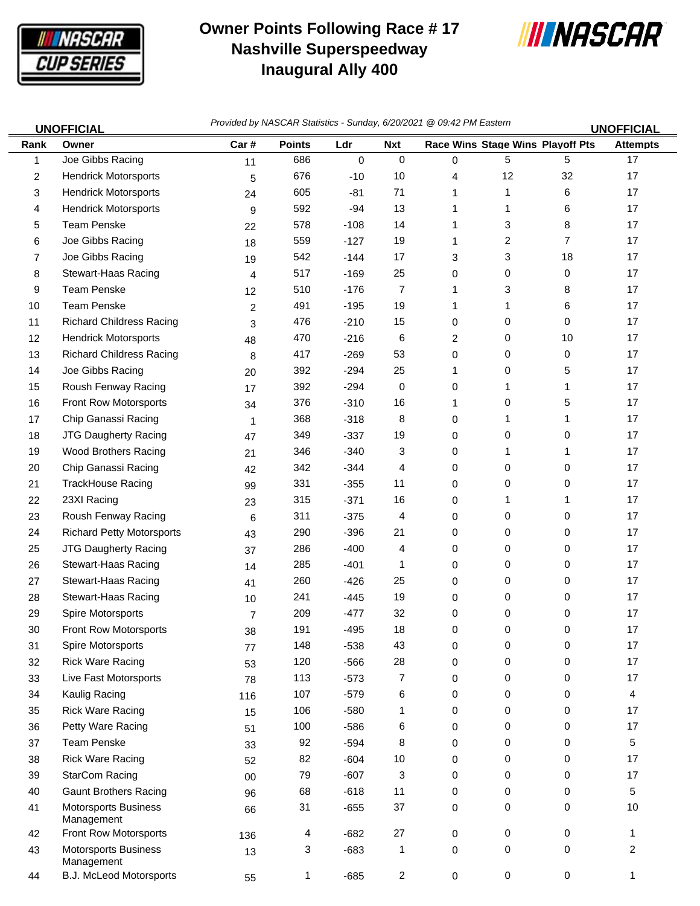

## **Owner Points Following Race # 17 Nashville Superspeedway Inaugural Ally 400**



| <b>UNOFFICIAL</b> |                                           | Provided by NASCAR Statistics - Sunday, 6/20/2021 @ 09:42 PM Eastern<br><b>UNOFFICIAL</b> |               |           |                |   |                                  |    |                 |  |
|-------------------|-------------------------------------------|-------------------------------------------------------------------------------------------|---------------|-----------|----------------|---|----------------------------------|----|-----------------|--|
| Rank              | Owner                                     | Car#                                                                                      | <b>Points</b> | Ldr       | <b>Nxt</b>     |   | Race Wins Stage Wins Playoff Pts |    | <b>Attempts</b> |  |
| 1                 | Joe Gibbs Racing                          | 11                                                                                        | 686           | $\pmb{0}$ | 0              | 0 | $5\phantom{.0}$                  | 5  | 17              |  |
| $\overline{2}$    | <b>Hendrick Motorsports</b>               | 5                                                                                         | 676           | $-10$     | 10             | 4 | 12                               | 32 | 17              |  |
| 3                 | <b>Hendrick Motorsports</b>               | 24                                                                                        | 605           | $-81$     | 71             | 1 | 1                                | 6  | 17              |  |
| 4                 | <b>Hendrick Motorsports</b>               | 9                                                                                         | 592           | $-94$     | 13             | 1 | 1                                | 6  | 17              |  |
| 5                 | <b>Team Penske</b>                        | 22                                                                                        | 578           | $-108$    | 14             | 1 | 3                                | 8  | 17              |  |
| 6                 | Joe Gibbs Racing                          | 18                                                                                        | 559           | $-127$    | 19             | 1 | $\overline{c}$                   | 7  | 17              |  |
| 7                 | Joe Gibbs Racing                          | 19                                                                                        | 542           | $-144$    | 17             | 3 | 3                                | 18 | 17              |  |
| 8                 | Stewart-Haas Racing                       | 4                                                                                         | 517           | $-169$    | 25             | 0 | 0                                | 0  | 17              |  |
| 9                 | <b>Team Penske</b>                        | 12                                                                                        | 510           | $-176$    | 7              | 1 | 3                                | 8  | 17              |  |
| 10                | <b>Team Penske</b>                        | $\overline{2}$                                                                            | 491           | $-195$    | 19             | 1 | 1                                | 6  | 17              |  |
| 11                | <b>Richard Childress Racing</b>           | 3                                                                                         | 476           | $-210$    | 15             | 0 | 0                                | 0  | 17              |  |
| 12                | <b>Hendrick Motorsports</b>               | 48                                                                                        | 470           | $-216$    | 6              | 2 | 0                                | 10 | 17              |  |
| 13                | <b>Richard Childress Racing</b>           | 8                                                                                         | 417           | $-269$    | 53             | 0 | 0                                | 0  | 17              |  |
| 14                | Joe Gibbs Racing                          | 20                                                                                        | 392           | $-294$    | 25             | 1 | 0                                | 5  | 17              |  |
| 15                | Roush Fenway Racing                       | 17                                                                                        | 392           | $-294$    | 0              | 0 | 1                                | 1  | 17              |  |
| 16                | Front Row Motorsports                     | 34                                                                                        | 376           | $-310$    | 16             | 1 | 0                                | 5  | 17              |  |
| 17                | Chip Ganassi Racing                       | 1                                                                                         | 368           | $-318$    | 8              | 0 | 1                                | 1  | 17              |  |
| 18                | JTG Daugherty Racing                      | 47                                                                                        | 349           | $-337$    | 19             | 0 | 0                                | 0  | 17              |  |
| 19                | <b>Wood Brothers Racing</b>               | 21                                                                                        | 346           | $-340$    | 3              | 0 | 1                                | 1  | 17              |  |
| 20                | Chip Ganassi Racing                       | 42                                                                                        | 342           | $-344$    | 4              | 0 | 0                                | 0  | 17              |  |
| 21                | <b>TrackHouse Racing</b>                  | 99                                                                                        | 331           | $-355$    | 11             | 0 | 0                                | 0  | 17              |  |
| 22                | 23XI Racing                               | 23                                                                                        | 315           | $-371$    | 16             | 0 | 1                                | 1  | 17              |  |
| 23                | Roush Fenway Racing                       | 6                                                                                         | 311           | $-375$    | 4              | 0 | 0                                | 0  | 17              |  |
| 24                | <b>Richard Petty Motorsports</b>          | 43                                                                                        | 290           | $-396$    | 21             | 0 | 0                                | 0  | 17              |  |
| 25                | JTG Daugherty Racing                      | 37                                                                                        | 286           | $-400$    | 4              | 0 | 0                                | 0  | 17              |  |
| 26                | Stewart-Haas Racing                       | 14                                                                                        | 285           | $-401$    | 1              | 0 | 0                                | 0  | 17              |  |
| 27                | Stewart-Haas Racing                       | 41                                                                                        | 260           | $-426$    | 25             | 0 | 0                                | 0  | 17              |  |
| 28                | Stewart-Haas Racing                       | 10                                                                                        | 241           | $-445$    | 19             | 0 | 0                                | 0  | 17              |  |
| 29                | Spire Motorsports                         | $\overline{7}$                                                                            | 209           | $-477$    | 32             | 0 | 0                                | 0  | 17              |  |
| 30                | <b>Front Row Motorsports</b>              | 38                                                                                        | 191           | $-495$    | 18             | 0 | 0                                | 0  | 17              |  |
| 31                | Spire Motorsports                         | 77                                                                                        | 148           | $-538$    | 43             | 0 | 0                                | 0  | 17              |  |
| 32                | <b>Rick Ware Racing</b>                   | 53                                                                                        | 120           | $-566$    | 28             | 0 | 0                                | 0  | 17              |  |
| 33                | Live Fast Motorsports                     | 78                                                                                        | 113           | $-573$    | 7              | 0 | 0                                | 0  | 17              |  |
| 34                | Kaulig Racing                             | 116                                                                                       | 107           | $-579$    | 6              | 0 | 0                                | 0  | 4               |  |
| 35                | <b>Rick Ware Racing</b>                   | 15                                                                                        | 106           | $-580$    | 1              | 0 | 0                                | 0  | 17              |  |
| 36                | Petty Ware Racing                         | 51                                                                                        | 100           | $-586$    | 6              | 0 | 0                                | 0  | 17              |  |
| 37                | <b>Team Penske</b>                        | 33                                                                                        | 92            | $-594$    | 8              | 0 | 0                                | 0  | 5               |  |
| 38                | <b>Rick Ware Racing</b>                   | 52                                                                                        | 82            | $-604$    | 10             | 0 | 0                                | 0  | 17              |  |
| 39                | <b>StarCom Racing</b>                     | 00                                                                                        | 79            | $-607$    | 3              | 0 | 0                                | 0  | 17              |  |
| 40                | <b>Gaunt Brothers Racing</b>              | 96                                                                                        | 68            | $-618$    | 11             | 0 | 0                                | 0  | 5               |  |
| 41                | <b>Motorsports Business</b><br>Management | 66                                                                                        | 31            | $-655$    | 37             | 0 | 0                                | 0  | 10              |  |
| 42                | Front Row Motorsports                     | 136                                                                                       | 4             | $-682$    | 27             | 0 | 0                                | 0  | 1               |  |
| 43                | <b>Motorsports Business</b><br>Management | 13                                                                                        | 3             | $-683$    | 1              | 0 | 0                                | 0  | $\overline{2}$  |  |
| 44                | <b>B.J. McLeod Motorsports</b>            | 55                                                                                        | 1             | $-685$    | $\overline{a}$ | 0 | 0                                | 0  | 1               |  |